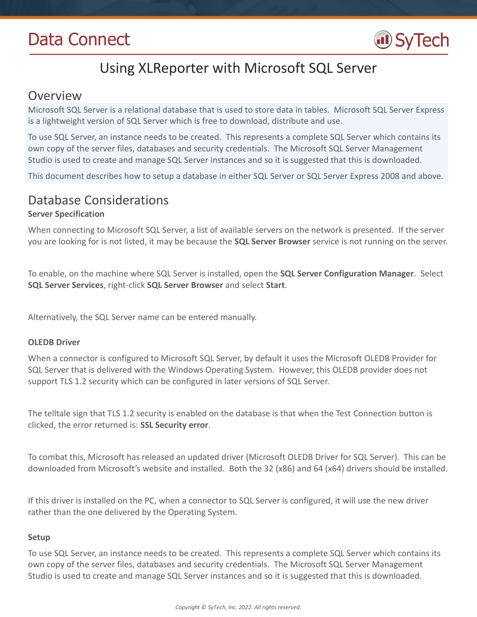# Data Connect



# Using XLReporter with Microsoft SQL Server

### Overview

Microsoft SQL Server is a relational database that is used to store data in tables. Microsoft SQL Server Express is a lightweight version of SQL Server which is free to download, distribute and use.

To use SQL Server, an instance needs to be created. This represents a complete SQL Server which contains its own copy of the server files, databases and security credentials. The Microsoft SQL Server Management Studio is used to create and manage SQL Server instances and so it is suggested that this is downloaded.

This document describes how to setup a database in either SQL Server or SQL Server Express 2008 and above.

# Database Considerations

### **Server Specification**

When connecting to Microsoft SQL Server, a list of available servers on the network is presented. If the server you are looking for is not listed, it may be because the **SQL Server Browser** service is not running on the server.

To enable, on the machine where SQL Server is installed, open the **SQL Server Configuration Manager**. Select **SQL Server Services**, right-click **SQL Server Browser** and select **Start**.

Alternatively, the SQL Server name can be entered manually.

#### **OLEDB Driver**

When a connector is configured to Microsoft SQL Server, by default it uses the Microsoft OLEDB Provider for SQL Server that is delivered with the Windows Operating System. However, this OLEDB provider does not support TLS 1.2 security which can be configured in later versions of SQL Server.

The telltale sign that TLS 1.2 security is enabled on the database is that when the Test Connection button is clicked, the error returned is: **SSL Security error**.

To combat this, Microsoft has released an updated driver (Microsoft OLEDB Driver for SQL Server). This can be downloaded from Microsoft's website and installed. Both the 32 (x86) and 64 (x64) drivers should be installed.

If this driver is installed on the PC, when a connector to SQL Server is configured, it will use the new driver rather than the one delivered by the Operating System.

#### **Setup**

To use SQL Server, an instance needs to be created. This represents a complete SQL Server which contains its own copy of the server files, databases and security credentials. The Microsoft SQL Server Management Studio is used to create and manage SQL Server instances and so it is suggested that this is downloaded.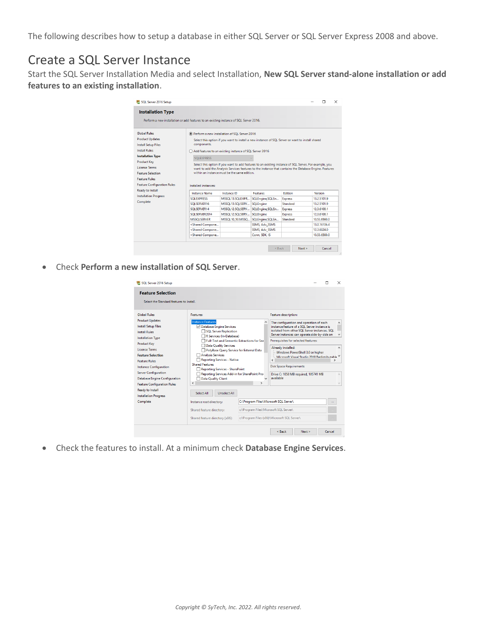The following describes how to setup a database in either SQL Server or SQL Server Express 2008 and above.

# Create a SQL Server Instance

Start the SQL Server Installation Media and select Installation, **New SQL Server stand-alone installation or add features to an existing installation**.

| SQL Server 2016 Setup                                                                                                                                                                                                                                                                                                            |                                                                                                                                                                                                                                                                                                                                                                                                                                                                                                                                                                                                                                                                                                                                                                                                                                                                                                                                                                                                                                                                                                                                                                                                                                                                                                                                                                   |                                                                                                                                                                                                                                                                                                                                                                                                                                                                                                                                               |                                                                                                                                                                                 |                                                                                       | П                                                                                                                                  | $\times$ |
|----------------------------------------------------------------------------------------------------------------------------------------------------------------------------------------------------------------------------------------------------------------------------------------------------------------------------------|-------------------------------------------------------------------------------------------------------------------------------------------------------------------------------------------------------------------------------------------------------------------------------------------------------------------------------------------------------------------------------------------------------------------------------------------------------------------------------------------------------------------------------------------------------------------------------------------------------------------------------------------------------------------------------------------------------------------------------------------------------------------------------------------------------------------------------------------------------------------------------------------------------------------------------------------------------------------------------------------------------------------------------------------------------------------------------------------------------------------------------------------------------------------------------------------------------------------------------------------------------------------------------------------------------------------------------------------------------------------|-----------------------------------------------------------------------------------------------------------------------------------------------------------------------------------------------------------------------------------------------------------------------------------------------------------------------------------------------------------------------------------------------------------------------------------------------------------------------------------------------------------------------------------------------|---------------------------------------------------------------------------------------------------------------------------------------------------------------------------------|---------------------------------------------------------------------------------------|------------------------------------------------------------------------------------------------------------------------------------|----------|
| <b>Installation Type</b>                                                                                                                                                                                                                                                                                                         |                                                                                                                                                                                                                                                                                                                                                                                                                                                                                                                                                                                                                                                                                                                                                                                                                                                                                                                                                                                                                                                                                                                                                                                                                                                                                                                                                                   |                                                                                                                                                                                                                                                                                                                                                                                                                                                                                                                                               |                                                                                                                                                                                 |                                                                                       |                                                                                                                                    |          |
| Perform a new installation or add features to an existing instance of SQL Server 2016.                                                                                                                                                                                                                                           |                                                                                                                                                                                                                                                                                                                                                                                                                                                                                                                                                                                                                                                                                                                                                                                                                                                                                                                                                                                                                                                                                                                                                                                                                                                                                                                                                                   |                                                                                                                                                                                                                                                                                                                                                                                                                                                                                                                                               |                                                                                                                                                                                 |                                                                                       |                                                                                                                                    |          |
| <b>Global Rules</b><br><b>Product Updates</b><br><b>Install Setup Files</b><br>Install Rules<br><b>Installation Type</b><br><b>Product Key</b><br><b>License Terms</b><br><b>Feature Selection</b><br><b>Feature Rules</b><br><b>Feature Configuration Rules</b><br>Ready to Install<br><b>Installation Progress</b><br>Complete | ● Perform a new installation of SQL Server 2016<br>components.<br><b>SOLEXPRESS</b><br>Installed instances:<br><b>Instance Name</b><br><b>SOLEXPRESS</b><br>SOLSERVER16<br>SOLSERVER14<br>SOLSERVER2014<br><b>MSSOLSERVER</b><br><shared compone<br=""><shared compone<br=""><shared compone<="" th=""><th>Select this option if you want to install a new instance of SQL Server or want to install shared<br/>Add features to an existing instance of SQL Server 2016<br/>Select this option if you want to add features to an existing instance of SQL Server. For example, you<br/>want to add the Analysis Services features to the instance that contains the Database Engine. Features<br/>within an instance must be the same edition.<br/>Instance ID<br/>MSSOL13.SOLEXPR<br/>MSSQL13.SQLSERV<br/>MSSQL12.SQLSERV<br/>MSSOL12.SOLSERV<br/>MSSQL10 50.MSSQ</th><th>Features<br/>SQLEngine, SQLEn<br/><b>SQLEngine</b><br/>SQLEngine, SQLEn<br/><b>SQLEngine</b><br/>SQLEngine, SQLEn<br/><b>SSMS, Adv SSMS</b><br/><b>SSMS. Adv SSMS</b><br/>Conn. SDK. IS</th><th>Edition<br/><b>Express</b><br/>Standard<br/><b>Express</b><br/><b>Express</b><br/>Standard</th><th>Version<br/>13.2.5101.9<br/>13.2.5101.9<br/>12.3.6108.1<br/>12.3.6108.1<br/>10.53.6560.0<br/>13.0.16106.4<br/>12.3.6024.0<br/>10.53.6560.0</th><th></th></shared></shared></shared> | Select this option if you want to install a new instance of SQL Server or want to install shared<br>Add features to an existing instance of SQL Server 2016<br>Select this option if you want to add features to an existing instance of SQL Server. For example, you<br>want to add the Analysis Services features to the instance that contains the Database Engine. Features<br>within an instance must be the same edition.<br>Instance ID<br>MSSOL13.SOLEXPR<br>MSSQL13.SQLSERV<br>MSSQL12.SQLSERV<br>MSSOL12.SOLSERV<br>MSSQL10 50.MSSQ | Features<br>SQLEngine, SQLEn<br><b>SQLEngine</b><br>SQLEngine, SQLEn<br><b>SQLEngine</b><br>SQLEngine, SQLEn<br><b>SSMS, Adv SSMS</b><br><b>SSMS. Adv SSMS</b><br>Conn. SDK. IS | Edition<br><b>Express</b><br>Standard<br><b>Express</b><br><b>Express</b><br>Standard | Version<br>13.2.5101.9<br>13.2.5101.9<br>12.3.6108.1<br>12.3.6108.1<br>10.53.6560.0<br>13.0.16106.4<br>12.3.6024.0<br>10.53.6560.0 |          |
|                                                                                                                                                                                                                                                                                                                                  |                                                                                                                                                                                                                                                                                                                                                                                                                                                                                                                                                                                                                                                                                                                                                                                                                                                                                                                                                                                                                                                                                                                                                                                                                                                                                                                                                                   |                                                                                                                                                                                                                                                                                                                                                                                                                                                                                                                                               | $<$ Back                                                                                                                                                                        | Next                                                                                  | Cancel                                                                                                                             |          |

Check **Perform a new installation of SQL Server**.

| SQL Server 2016 Setup<br><b>Feature Selection</b><br>Select the Standard features to install.                                                                                                                                                                                                                                                                                                |                                                                                                                                                                                                                                                                                                                                                                                                                                                                                                                    |                                                                                  | $\times$                                                                                                                                                                                                                                                                                                                                                                                                                                                                                                                  |
|----------------------------------------------------------------------------------------------------------------------------------------------------------------------------------------------------------------------------------------------------------------------------------------------------------------------------------------------------------------------------------------------|--------------------------------------------------------------------------------------------------------------------------------------------------------------------------------------------------------------------------------------------------------------------------------------------------------------------------------------------------------------------------------------------------------------------------------------------------------------------------------------------------------------------|----------------------------------------------------------------------------------|---------------------------------------------------------------------------------------------------------------------------------------------------------------------------------------------------------------------------------------------------------------------------------------------------------------------------------------------------------------------------------------------------------------------------------------------------------------------------------------------------------------------------|
| <b>Global Rules</b><br><b>Product Updates</b><br><b>Install Setup Files</b><br>Install Rules<br><b>Installation Type</b><br><b>Product Key</b><br><b>License Terms</b><br><b>Feature Selection</b><br><b>Feature Rules</b><br><b>Instance Configuration</b><br><b>Server Configuration</b><br><b>Database Engine Configuration</b><br><b>Feature Configuration Rules</b><br>Ready to Install | Features:<br><b>Instance Features</b><br>Database Engine Services<br>SQL Server Replication<br>R Services (In-Database)<br><b>Full-Text and Semantic Extractions for Sea</b><br><b>Data Quality Services</b><br>PolyBase Query Service for External Data<br>Analysis Services<br>Reporting Services - Native<br><b>Shared Features</b><br>Reporting Services - SharePoint<br>Reporting Services Add-in for SharePoint Pro-<br>Data Quality Client<br>$\overline{\phantom{a}}$<br><b>Unselect All</b><br>Select All | $\rightarrow$                                                                    | Feature description:<br>The configuration and operation of each<br>$\wedge$<br>instance feature of a SOL Server instance is<br>isolated from other SOL Server instances, SOL<br>Server instances can operate side-by-side on<br>$\checkmark$<br>Prerequisites for selected features:<br>Already installed:<br>$\wedge$<br>Windows PowerShell 3.0 or higher<br>Microsoft Visual Studio 2010 Redistributable Y<br>K<br><b>Disk Space Requirements</b><br>Drive C: 1058 MB required, 105741 MB<br>$\wedge$<br>available<br>v |
| <b>Installation Progress</b><br>Complete                                                                                                                                                                                                                                                                                                                                                     | Instance root directory:<br>Shared feature directory:<br>Shared feature directory (x86):                                                                                                                                                                                                                                                                                                                                                                                                                           | C:\Program Files\Microsoft SQL Server\<br>c:\Program Files\Microsoft SQL Server\ | $\ddot{\phantom{a}}$<br>c:\Program Files (x86)\Microsoft SQL Server\<br>Next<br>Cancel<br>$<$ Back                                                                                                                                                                                                                                                                                                                                                                                                                        |

Check the features to install. At a minimum check **Database Engine Services**.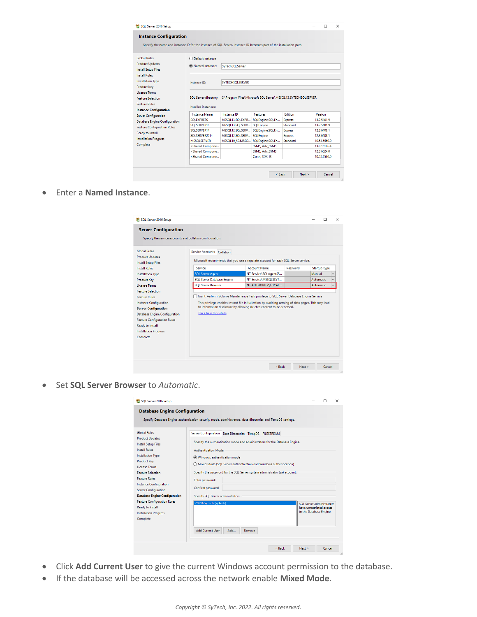| SQL Server 2016 Setup                                                                                               |                                                                                                                            |                                                                                     |                       |                |                 |              | $\times$ |
|---------------------------------------------------------------------------------------------------------------------|----------------------------------------------------------------------------------------------------------------------------|-------------------------------------------------------------------------------------|-----------------------|----------------|-----------------|--------------|----------|
| <b>Instance Configuration</b>                                                                                       |                                                                                                                            |                                                                                     |                       |                |                 |              |          |
| Specify the name and instance ID for the instance of SQL Server. Instance ID becomes part of the installation path. |                                                                                                                            |                                                                                     |                       |                |                 |              |          |
| <b>Global Rules</b>                                                                                                 | ○ Default instance                                                                                                         |                                                                                     |                       |                |                 |              |          |
| <b>Product Updates</b><br><b>Install Setup Files</b>                                                                | (6) Named instance:                                                                                                        | SvTechSOLServer                                                                     |                       |                |                 |              |          |
| <b>Install Rules</b>                                                                                                |                                                                                                                            |                                                                                     |                       |                |                 |              |          |
| <b>Installation Type</b><br><b>Product Kev</b>                                                                      | Instance ID:                                                                                                               | <b>SYTECHSOLSERVER</b>                                                              |                       |                |                 |              |          |
| <b>License Terms</b>                                                                                                |                                                                                                                            |                                                                                     |                       |                |                 |              |          |
| <b>Feature Selection</b>                                                                                            |                                                                                                                            | SQL Server directory: C:\Program Files\Microsoft SQL Server\MSSQL13.SYTECHSQLSERVER |                       |                |                 |              |          |
| <b>Feature Rules</b>                                                                                                | Installed instances:                                                                                                       |                                                                                     |                       |                |                 |              |          |
| <b>Instance Configuration</b>                                                                                       | <b>Instance Name</b>                                                                                                       | Instance ID                                                                         | Features              |                | <b>Edition</b>  | Version      |          |
| <b>Server Configuration</b>                                                                                         | <b>SOLEXPRESS</b>                                                                                                          | MSSOL13.SOLEXPR                                                                     | SQLEngine, SQLEn      | <b>Express</b> |                 | 13.2.5101.9  |          |
| <b>Database Engine Configuration</b>                                                                                | SOLSERVER16                                                                                                                | MSSOL13.SOLSERV                                                                     | <b>SOLEngine</b>      |                | Standard        | 13.2.5101.9  |          |
| <b>Feature Configuration Rules</b>                                                                                  | SOLSERVER14                                                                                                                | MSSQL12.SQLSERV                                                                     | SQLEngine, SQLEn      | <b>Express</b> |                 | 12.3.6108.1  |          |
| Ready to Install                                                                                                    | SOLSERVER2014                                                                                                              | MSSQL12.SQLSERV                                                                     | <b>SQLEngine</b>      | <b>Express</b> |                 | 12.3.6108.1  |          |
| <b>Installation Progress</b>                                                                                        | <b>MSSOLSERVER</b>                                                                                                         | MSSQL10 50.MSSQ                                                                     | SQLEngine, SQLEn      |                | <b>Standard</b> | 10.53.6560.0 |          |
| Complete                                                                                                            | <shared compone<="" td=""><td></td><td><b>SSMS, Adv SSMS</b></td><td></td><td></td><td>13.0.16106.4</td><td></td></shared> |                                                                                     | <b>SSMS, Adv SSMS</b> |                |                 | 13.0.16106.4 |          |
|                                                                                                                     | <shared compone<="" td=""><td></td><td><b>SSMS, Adv SSMS</b></td><td></td><td></td><td>12.3.6024.0</td><td></td></shared>  |                                                                                     | <b>SSMS, Adv SSMS</b> |                |                 | 12.3.6024.0  |          |
|                                                                                                                     | <shared compone<="" td=""><td></td><td>Conn, SDK, IS</td><td></td><td></td><td>10.53.6560.0</td><td></td></shared>         |                                                                                     | Conn, SDK, IS         |                |                 | 10.53.6560.0 |          |
|                                                                                                                     |                                                                                                                            |                                                                                     |                       |                |                 |              |          |
|                                                                                                                     |                                                                                                                            |                                                                                     |                       |                |                 |              |          |
|                                                                                                                     |                                                                                                                            |                                                                                     |                       | < Back         | Next >          | Cancel       |          |

Enter a **Named Instance**.

| SQL Server 2016 Setup                                                                                                                                                                                                                                          |                                                                                                                 |                                                                                                                                                                                                                                                                       |          |                     |        | $\times$ |
|----------------------------------------------------------------------------------------------------------------------------------------------------------------------------------------------------------------------------------------------------------------|-----------------------------------------------------------------------------------------------------------------|-----------------------------------------------------------------------------------------------------------------------------------------------------------------------------------------------------------------------------------------------------------------------|----------|---------------------|--------|----------|
| <b>Server Configuration</b>                                                                                                                                                                                                                                    |                                                                                                                 |                                                                                                                                                                                                                                                                       |          |                     |        |          |
| Specify the service accounts and collation configuration.                                                                                                                                                                                                      |                                                                                                                 |                                                                                                                                                                                                                                                                       |          |                     |        |          |
| <b>Global Rules</b><br><b>Product Updates</b><br><b>Install Setup Files</b>                                                                                                                                                                                    | Service Accounts Collation<br>Microsoft recommends that you use a separate account for each SQL Server service. |                                                                                                                                                                                                                                                                       |          |                     |        |          |
| <b>Install Rules</b>                                                                                                                                                                                                                                           | Service                                                                                                         | <b>Account Name</b>                                                                                                                                                                                                                                                   | Password | <b>Startup Type</b> |        |          |
| <b>Installation Type</b>                                                                                                                                                                                                                                       | <b>SQL Server Agent</b>                                                                                         | NT Service\SQLAgent\$S                                                                                                                                                                                                                                                |          | Manual              |        |          |
| <b>Product Key</b>                                                                                                                                                                                                                                             | <b>SQL Server Database Engine</b>                                                                               | NT Service\MSSOLSSYT                                                                                                                                                                                                                                                  |          | Automatic           |        |          |
| <b>License Terms</b>                                                                                                                                                                                                                                           | <b>SOL Server Browser</b>                                                                                       | NT AUTHORITY\LOCAL                                                                                                                                                                                                                                                    |          | Automatic           |        |          |
| <b>Feature Selection</b><br><b>Feature Rules</b><br><b>Instance Configuration</b><br><b>Server Configuration</b><br><b>Database Engine Configuration</b><br><b>Feature Configuration Rules</b><br>Ready to Install<br><b>Installation Progress</b><br>Complete | <b>Click here for details</b>                                                                                   | Grant Perform Volume Maintenance Task privilege to SQL Server Database Engine Service<br>This privilege enables instant file initialization by avoiding zeroing of data pages. This may lead<br>to information disclosure by allowing deleted content to be accessed. |          |                     |        |          |
|                                                                                                                                                                                                                                                                |                                                                                                                 | < Back                                                                                                                                                                                                                                                                | $Next$ > |                     | Cancel |          |

Set **SQL Server Browser** to *Automatic*.

| SQL Server 2016 Setup                                |                                                                                                             |                         | $\times$                  |  |
|------------------------------------------------------|-------------------------------------------------------------------------------------------------------------|-------------------------|---------------------------|--|
| <b>Database Engine Configuration</b>                 | Specify Database Engine authentication security mode, administrators, data directories and TempDB settings. |                         |                           |  |
|                                                      |                                                                                                             |                         |                           |  |
| <b>Global Rules</b>                                  | Server Configuration Data Directories TempDB FILESTREAM                                                     |                         |                           |  |
| <b>Product Updates</b><br><b>Install Setup Files</b> | Specify the authentication mode and administrators for the Database Engine.                                 |                         |                           |  |
| <b>Install Rules</b>                                 | <b>Authentication Mode</b>                                                                                  |                         |                           |  |
| <b>Installation Type</b>                             | (C) Windows authentication mode                                                                             |                         |                           |  |
| <b>Product Key</b>                                   | O Mixed Mode (SOL Server authentication and Windows authentication)                                         |                         |                           |  |
| <b>License Terms</b><br><b>Feature Selection</b>     | Specify the password for the SQL Server system administrator (sa) account.                                  |                         |                           |  |
| <b>Feature Rules</b>                                 |                                                                                                             |                         |                           |  |
| <b>Instance Configuration</b>                        | Enter password:                                                                                             |                         |                           |  |
| <b>Server Configuration</b>                          | Confirm password:                                                                                           |                         |                           |  |
| <b>Database Engine Configuration</b>                 | Specify SQL Server administrators                                                                           |                         |                           |  |
| <b>Feature Configuration Rules</b>                   | SY020\SyTech (SyTech)                                                                                       |                         | SOL Server administrators |  |
| Ready to Install                                     |                                                                                                             |                         | have unrestricted access. |  |
| <b>Installation Progress</b>                         |                                                                                                             | to the Database Engine. |                           |  |
| Complete                                             |                                                                                                             |                         |                           |  |
|                                                      | <b>Add Current User</b><br>Add<br>Remove                                                                    |                         |                           |  |
|                                                      |                                                                                                             |                         |                           |  |
|                                                      | < Rack<br>Next >                                                                                            |                         | Cancel                    |  |

- Click **Add Current User** to give the current Windows account permission to the database.
- If the database will be accessed across the network enable **Mixed Mode**.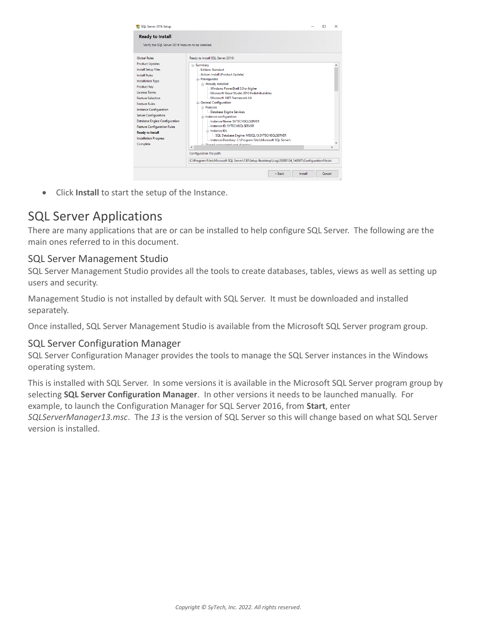

Click **Install** to start the setup of the Instance.

# SQL Server Applications

There are many applications that are or can be installed to help configure SQL Server. The following are the main ones referred to in this document.

### SQL Server Management Studio

SQL Server Management Studio provides all the tools to create databases, tables, views as well as setting up users and security.

Management Studio is not installed by default with SQL Server. It must be downloaded and installed separately.

Once installed, SQL Server Management Studio is available from the Microsoft SQL Server program group.

### SQL Server Configuration Manager

SQL Server Configuration Manager provides the tools to manage the SQL Server instances in the Windows operating system.

This is installed with SQL Server. In some versions it is available in the Microsoft SQL Server program group by selecting **SQL Server Configuration Manager**. In other versions it needs to be launched manually. For example, to launch the Configuration Manager for SQL Server 2016, from **Start**, enter *SQLServerManager13.msc*. The *13* is the version of SQL Server so this will change based on what SQL Server version is installed.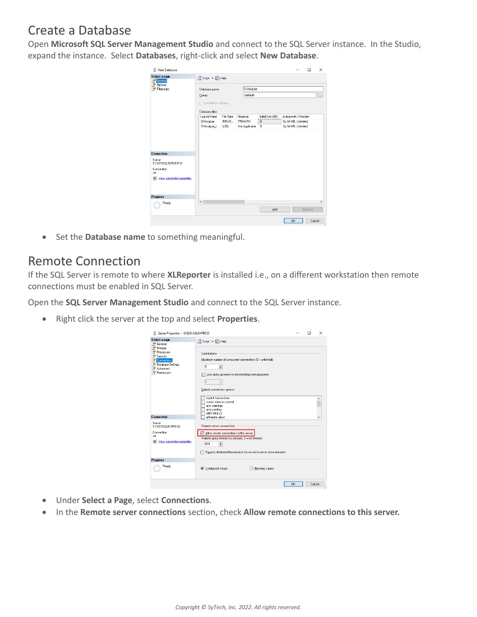# Create a Database

Open **Microsoft SQL Server Management Studio** and connect to the SQL Server instance. In the Studio, expand the instance. Select **Databases**, right-click and select **New Database**.

| Ħ<br>New Database                                                                             |                          |           |                     |                   |                      | ×<br>$\Box$ |
|-----------------------------------------------------------------------------------------------|--------------------------|-----------|---------------------|-------------------|----------------------|-------------|
| Select a page<br>General<br>R                                                                 | Script v B Help          |           |                     |                   |                      |             |
| Options<br>Filegroups<br>÷                                                                    | Database name:           |           | <b>DVAnalyze</b>    |                   |                      |             |
|                                                                                               | Owner:                   |           | <default></default> |                   |                      | $\ldots$    |
|                                                                                               | □ Use full-text indexing |           |                     |                   |                      |             |
|                                                                                               | Database files:          |           |                     |                   |                      |             |
|                                                                                               | Logical Name             | File Type | Filegroup           | Initial Size (MB) | Autogrowth / Maxsize |             |
|                                                                                               | <b>DVAnalyze</b>         | ROWS      | PRIMARY             | 8                 | By 64 MB, Unlimited  |             |
|                                                                                               | DVAnalyze L.             | LOG       | Not Applicable      | 8                 | By 64 MB, Unlimited  |             |
| Connection<br>Server:<br>SY020\SQLSERVER16<br>Connection:<br>sa<br>View connection properties |                          |           |                     |                   |                      |             |
| Progress                                                                                      |                          |           |                     |                   |                      |             |
|                                                                                               | $\epsilon$               |           |                     |                   |                      | $\,$        |
| Ready                                                                                         |                          |           |                     | Add               | Remove               |             |
|                                                                                               |                          |           |                     |                   | 0K                   | Cancel      |

**•** Set the **Database name** to something meaningful.

# Remote Connection

If the SQL Server is remote to where **XLReporter** is installed i.e., on a different workstation then remote connections must be enabled in SQL Server.

Open the **SQL Server Management Studio** and connect to the SQL Server instance.

Right click the server at the top and select **Properties**.

| Server Properties - SY020\SQLEXPRESS<br>Ħ                                                                            |                                                                                                                                                                                                                                                                                                     | □      | $\times$ |
|----------------------------------------------------------------------------------------------------------------------|-----------------------------------------------------------------------------------------------------------------------------------------------------------------------------------------------------------------------------------------------------------------------------------------------------|--------|----------|
| Select a page                                                                                                        | Script v B Help                                                                                                                                                                                                                                                                                     |        |          |
| General<br>Memory<br>Processors<br>Security<br><b>En</b> Connections<br>Database Settings<br>Advanced<br>Permissions | Connections<br>Maximum number of concurrent connections (0 = unlimited):<br>$\div$<br>n<br>Use query governor to prevent long-running queries<br>o<br>$\hat{\div}$<br>Default connection options:<br>implicit transactions<br>cursor close on commit<br>ansi warnings<br>ansi padding<br>ANSI NULLS |        |          |
| Connection                                                                                                           | arithmetic abort                                                                                                                                                                                                                                                                                    |        |          |
| Server<br>SY020\SQLEXPRESS<br>Connection:<br>\$A<br>View connection properties                                       | Remote server connections<br>$\boxed{\smile}$ Allow remote connections to this server<br>Remote query timeout fin seconds, 0 = no timeout);<br>÷<br>600<br>Require distributed transactions for server-to-server communication                                                                      |        |          |
| <b>Progress</b>                                                                                                      |                                                                                                                                                                                                                                                                                                     |        |          |
| Ready                                                                                                                | Configured values<br>Running values                                                                                                                                                                                                                                                                 |        |          |
|                                                                                                                      | 0K                                                                                                                                                                                                                                                                                                  | Cancel |          |

- Under **Select a Page**, select **Connections**.
- In the **Remote server connections** section, check **Allow remote connections to this server.**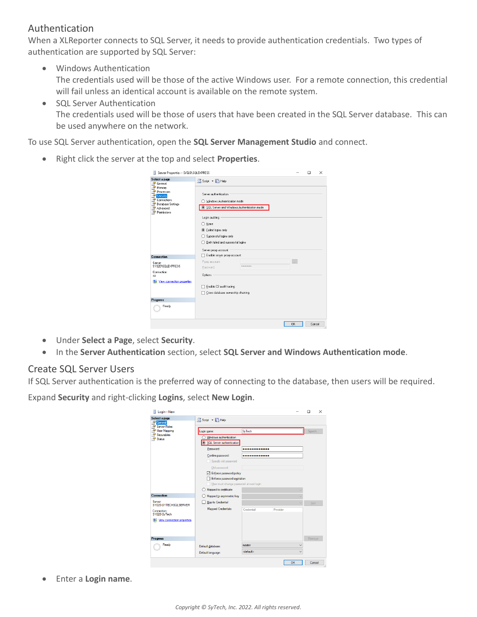### Authentication

When a XLReporter connects to SQL Server, it needs to provide authentication credentials. Two types of authentication are supported by SQL Server:

- Windows Authentication The credentials used will be those of the active Windows user. For a remote connection, this credential will fail unless an identical account is available on the remote system.
- SQL Server Authentication The credentials used will be those of users that have been created in the SQL Server database. This can be used anywhere on the network.

To use SQL Server authentication, open the **SQL Server Management Studio** and connect.

Right click the server at the top and select **Properties**.

| Server Properties - SY020\SQLEXPRESS                                                            |                                                                                                                                                                                                                                                          |           | $\Box$ | $\times$ |
|-------------------------------------------------------------------------------------------------|----------------------------------------------------------------------------------------------------------------------------------------------------------------------------------------------------------------------------------------------------------|-----------|--------|----------|
| Select a page<br>General<br>學                                                                   | Script v B Help                                                                                                                                                                                                                                          |           |        |          |
| Memory<br>Processors<br>Security<br>Connections<br>Database Settings<br>Advanced<br>Permissions | Server authentication<br>◯ Windows Authentication mode<br>SQL Server and Windows Authentication mode<br>Login auditing<br>$\bigcirc$ None<br>● Failed logins only<br>Successful logins only<br>Both failed and successful logins<br>Server proxy account |           |        |          |
| Connection                                                                                      | Enable server proxy account                                                                                                                                                                                                                              |           |        |          |
| Server:<br>SY020\SQLEXPRESS                                                                     | Proxy account:<br>арское веконое<br>Password:                                                                                                                                                                                                            | $\sim$    |        |          |
| Connection:<br>sa                                                                               | <b>Options</b>                                                                                                                                                                                                                                           |           |        |          |
| View connection properties                                                                      | Enable C2 audit tracing<br>Cross database ownership chaining                                                                                                                                                                                             |           |        |          |
| Progress                                                                                        |                                                                                                                                                                                                                                                          |           |        |          |
| Ready                                                                                           |                                                                                                                                                                                                                                                          |           |        |          |
|                                                                                                 |                                                                                                                                                                                                                                                          | <b>OK</b> | Cancel |          |

- Under **Select a Page**, select **Security**.
- In the **Server Authentication** section, select **SQL Server and Windows Authentication mode**.

### Create SQL Server Users

If SQL Server authentication is the preferred way of connecting to the database, then users will be required.

Expand **Security** and right-clicking **Logins**, select **New Login**.

| Ħ<br>Login - New                                          |                                                                                      |            |          |              | $\Box$ | $\times$ |
|-----------------------------------------------------------|--------------------------------------------------------------------------------------|------------|----------|--------------|--------|----------|
| Select a page<br><b>MA</b> General<br><b>Server Roles</b> | Script v Help                                                                        |            |          |              |        |          |
| <b>User Mapping</b>                                       | Login name:                                                                          | SyTech     |          |              | Search |          |
| Securables<br>Status                                      | Windows authentication<br>SQL Server authentication                                  |            |          |              |        |          |
|                                                           | Password:                                                                            |            |          |              |        |          |
|                                                           | Confirm password:                                                                    |            |          |              |        |          |
|                                                           | Specify old password                                                                 |            |          |              |        |          |
|                                                           | Old password:                                                                        |            |          |              |        |          |
|                                                           | Frforce password policy                                                              |            |          |              |        |          |
|                                                           | Enforce password expiration                                                          |            |          |              |        |          |
|                                                           | User must change password at next login<br>Mapped to certificate<br>$\left( \right)$ |            |          |              |        |          |
| <b>Connection</b>                                         | Mapped to asymmetric key                                                             |            |          | $\checkmark$ |        |          |
| Server:                                                   | Map to Credential                                                                    |            |          | $\ddot{}$    |        |          |
| SY020\SYTECHSQLSERVER                                     | <b>Mapped Credentials</b>                                                            | Credential | Provider |              | Add    |          |
| Connection:<br>SY020\SyTech                               |                                                                                      |            |          |              |        |          |
| Wew connection properties                                 |                                                                                      |            |          |              |        |          |
|                                                           |                                                                                      |            |          |              |        |          |
|                                                           |                                                                                      |            |          |              |        |          |
| <b>Progress</b>                                           |                                                                                      |            |          |              | Remove |          |
| Ready                                                     | Default database:                                                                    | master     |          | $\checkmark$ |        |          |
|                                                           |                                                                                      |            |          |              |        |          |

Enter a **Login name**.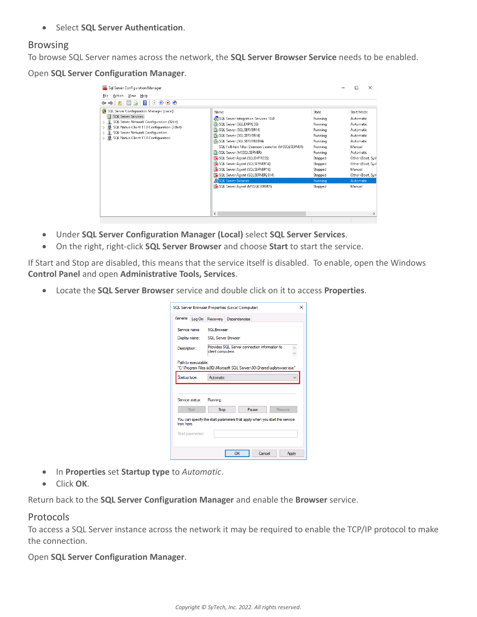**•** Select **SQL Server Authentication**.

#### Browsing

To browse SQL Server names across the network, the **SQL Server Browser Service** needs to be enabled.

Open **SQL Server Configuration Manager**.

| Sal Server Configuration Manager                                                                                                                                                                                                                                       |                                                                                                                                                                                                                                                                                                                                                                                                                                                  |                                                                                                                                                      | $\times$                                                                                                                                                                                           |
|------------------------------------------------------------------------------------------------------------------------------------------------------------------------------------------------------------------------------------------------------------------------|--------------------------------------------------------------------------------------------------------------------------------------------------------------------------------------------------------------------------------------------------------------------------------------------------------------------------------------------------------------------------------------------------------------------------------------------------|------------------------------------------------------------------------------------------------------------------------------------------------------|----------------------------------------------------------------------------------------------------------------------------------------------------------------------------------------------------|
| View<br>Help<br>File<br>Action                                                                                                                                                                                                                                         |                                                                                                                                                                                                                                                                                                                                                                                                                                                  |                                                                                                                                                      |                                                                                                                                                                                                    |
| $\circledast$ $\circledast$<br>⋒<br>$\mathbf{z}$                                                                                                                                                                                                                       |                                                                                                                                                                                                                                                                                                                                                                                                                                                  |                                                                                                                                                      |                                                                                                                                                                                                    |
| <b>PL</b><br>SQL Server Configuration Manager (Local)<br>SQL Server Services<br>目<br>€<br>SQL Server Network Configuration (32bit)<br>SQL Native Client 11.0 Configuration (32bit)<br>> J SQL Server Network Configuration<br>> 를 SQL Native Client 11.0 Configuration | Name<br>SQL Server Integration Services 10.0<br>SQL Server (SQLEXPRESS)<br>SQL Server (SQLSERVER14)<br>SQL Server (SQLSERVER16)<br>SQL Server (SQLSERVER2014)<br>SQL Full-text Filter Daemon Launcher (MSSQLSERVER)<br>SQL Server (MSSQLSERVER)<br>SQL Server Agent (SQLEXPRESS)<br>SQL Server Agent (SQLSERVER14)<br>SQL Server Agent (SQLSERVER16)<br>SQL Server Agent (SQLSERVER2014)<br>SQL Server Browser<br>SQL Server Agent (MSSQLSERVER) | State<br>Running<br>Running<br>Running<br>Running<br>Running<br>Running<br>Running<br>Stopped<br>Stopped<br>Stopped<br>Stopped<br>Running<br>Stopped | Start Mode<br>Automatic<br>Automatic<br>Automatic<br>Automatic<br>Automatic<br>Manual<br>Automatic<br>Other (Boot, Syst<br>Other (Boot, Syst<br>Manual<br>Other (Boot, Syst<br>Automatic<br>Manual |
|                                                                                                                                                                                                                                                                        | $\overline{\phantom{a}}$                                                                                                                                                                                                                                                                                                                                                                                                                         |                                                                                                                                                      | $\rightarrow$                                                                                                                                                                                      |

- Under **SQL Server Configuration Manager (Local)** select **SQL Server Services**.
- On the right, right-click **SQL Server Browser** and choose **Start** to start the service.

If Start and Stop are disabled, this means that the service itself is disabled. To enable, open the Windows **Control Panel** and open **Administrative Tools, Services**.

Locate the **SQL Server Browser** service and double click on it to access **Properties**.

|                                                                                    |  | SQL Server Browser Properties (Local Computer)                             | × |  |  |
|------------------------------------------------------------------------------------|--|----------------------------------------------------------------------------|---|--|--|
|                                                                                    |  | General Log On Recovery Dependencies                                       |   |  |  |
| Service name:                                                                      |  | <b>SQLBrowser</b>                                                          |   |  |  |
| Display name:                                                                      |  | SQL Server Browser                                                         |   |  |  |
| Provides SQL Server connection information to<br>Description:<br>client computers. |  |                                                                            |   |  |  |
| Path to executable:                                                                |  | "C:\Program Files (x86)\Microsoft SQL Server\90\Shared\sqlbrowser.exe"     |   |  |  |
| Startup type:                                                                      |  | Automatic                                                                  |   |  |  |
|                                                                                    |  |                                                                            |   |  |  |
| Service status:                                                                    |  | Running                                                                    |   |  |  |
| Start                                                                              |  | Pause<br><b>Stop</b><br>Resume                                             |   |  |  |
| from here                                                                          |  | You can specify the start parameters that apply when you start the service |   |  |  |
| Start parameters:                                                                  |  |                                                                            |   |  |  |
|                                                                                    |  | OK<br>Cancel<br>Apply                                                      |   |  |  |

- In **Properties** set **Startup type** to *Automatic*.
- Click **OK**.

Return back to the **SQL Server Configuration Manager** and enable the **Browser** service.

#### Protocols

To access a SQL Server instance across the network it may be required to enable the TCP/IP protocol to make the connection.

Open **SQL Server Configuration Manager**.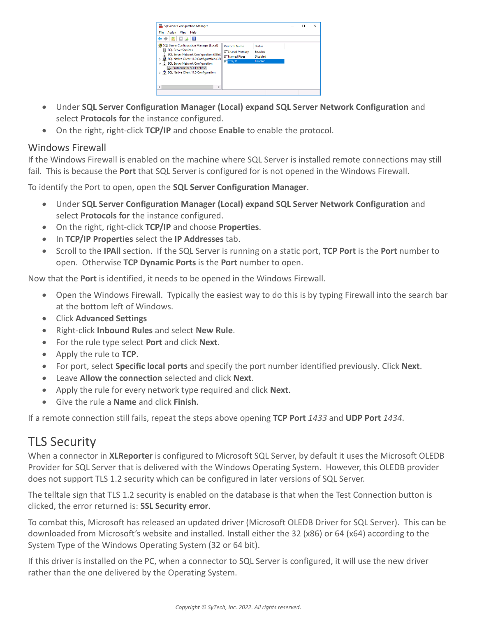| Sql Server Configuration Manager                                                                                                                                                                                                                                                   |                                                                                            |                                                                      | г | × |
|------------------------------------------------------------------------------------------------------------------------------------------------------------------------------------------------------------------------------------------------------------------------------------|--------------------------------------------------------------------------------------------|----------------------------------------------------------------------|---|---|
| File<br>Action View Help                                                                                                                                                                                                                                                           |                                                                                            |                                                                      |   |   |
| 国法                                                                                                                                                                                                                                                                                 |                                                                                            |                                                                      |   |   |
| SQL Server Configuration Manager (Local)<br><b>SOL Server Services</b><br>Ħ<br>SQL Server Network Configuration (32bit)<br>SQL Native Client 11.0 Configuration (32)<br>↓ U SQL Server Network Configuration<br>Protocols for SQLEXPRESS<br>> 5QL Native Client 11.0 Configuration | <b>Protocol Name</b><br><b>3 Shared Memory</b><br><b>T</b> Named Pipes<br><b>SHITCP/IP</b> | <b>Status</b><br><b>Fnabled</b><br><b>Disabled</b><br><b>Enabled</b> |   |   |
| $\epsilon$                                                                                                                                                                                                                                                                         |                                                                                            |                                                                      |   |   |
|                                                                                                                                                                                                                                                                                    |                                                                                            |                                                                      |   |   |

- Under **SQL Server Configuration Manager (Local) expand SQL Server Network Configuration** and select **Protocols for** the instance configured.
- On the right, right-click **TCP/IP** and choose **Enable** to enable the protocol.

### Windows Firewall

If the Windows Firewall is enabled on the machine where SQL Server is installed remote connections may still fail. This is because the **Port** that SQL Server is configured for is not opened in the Windows Firewall.

To identify the Port to open, open the **SQL Server Configuration Manager**.

- Under **SQL Server Configuration Manager (Local) expand SQL Server Network Configuration** and select **Protocols for** the instance configured.
- On the right, right-click **TCP/IP** and choose **Properties**.
- In **TCP/IP Properties** select the **IP Addresses** tab.
- Scroll to the **IPAll** section. If the SQL Server is running on a static port, **TCP Port** is the **Port** number to open. Otherwise **TCP Dynamic Ports** is the **Port** number to open.

Now that the **Port** is identified, it needs to be opened in the Windows Firewall.

- Open the Windows Firewall. Typically the easiest way to do this is by typing Firewall into the search bar at the bottom left of Windows.
- Click **Advanced Settings**
- Right-click **Inbound Rules** and select **New Rule**.
- For the rule type select **Port** and click **Next**.
- Apply the rule to **TCP**.
- For port, select **Specific local ports** and specify the port number identified previously. Click **Next**.
- Leave **Allow the connection** selected and click **Next**.
- Apply the rule for every network type required and click **Next**.
- Give the rule a **Name** and click **Finish**.

If a remote connection still fails, repeat the steps above opening **TCP Port** *1433* and **UDP Port** *1434*.

# TLS Security

When a connector in **XLReporter** is configured to Microsoft SQL Server, by default it uses the Microsoft OLEDB Provider for SQL Server that is delivered with the Windows Operating System. However, this OLEDB provider does not support TLS 1.2 security which can be configured in later versions of SQL Server.

The telltale sign that TLS 1.2 security is enabled on the database is that when the Test Connection button is clicked, the error returned is: **SSL Security error**.

To combat this, Microsoft has released an updated driver (Microsoft OLEDB Driver for SQL Server). This can be downloaded from Microsoft's website and installed. Install either the 32 (x86) or 64 (x64) according to the System Type of the Windows Operating System (32 or 64 bit).

If this driver is installed on the PC, when a connector to SQL Server is configured, it will use the new driver rather than the one delivered by the Operating System.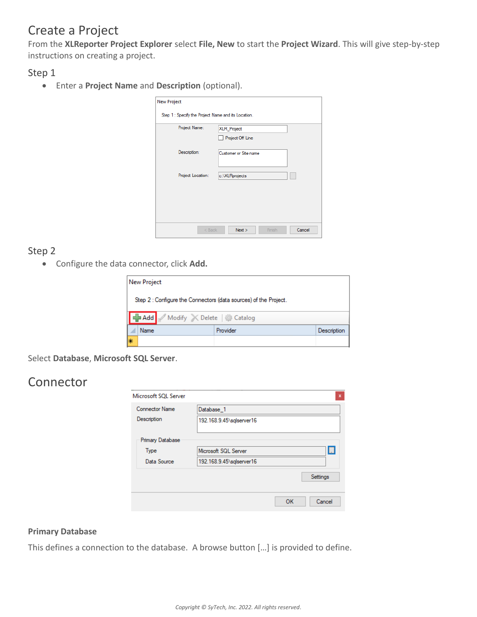# Create a Project

From the **XLReporter Project Explorer** select **File, New** to start the **Project Wizard**. This will give step-by-step instructions on creating a project.

Step 1

Enter a **Project Name** and **Description** (optional).

| <b>New Project</b>                                  |                          |
|-----------------------------------------------------|--------------------------|
| Step 1 : Specify the Project Name and its Location. |                          |
| Project Name:                                       | XLR_Project              |
|                                                     | Project Off Line         |
| Description:                                        | Customer or Site name    |
|                                                     |                          |
| Project Location:                                   | c:\XLRprojects           |
|                                                     |                          |
|                                                     |                          |
|                                                     |                          |
|                                                     |                          |
|                                                     |                          |
| $<$ Back                                            | Cancel<br>Next<br>Finish |

### Step 2

Configure the data connector, click **Add.**

|    | New Project                                                      |          |             |
|----|------------------------------------------------------------------|----------|-------------|
|    | Step 2 : Configure the Connectors (data sources) of the Project. |          |             |
|    | Add Modify X Delete   Catalog                                    |          |             |
|    | Name                                                             | Provider | Description |
| l∗ |                                                                  |          |             |

Select **Database**, **Microsoft SQL Server**.

# Connector

| Microsoft SQL Server    |                          | $\mathbf{x}$ |
|-------------------------|--------------------------|--------------|
| <b>Connector Name</b>   | Database 1               |              |
| Description             | 192.168.9.45\sqlserver16 |              |
| <b>Primary Database</b> |                          |              |
| Type                    | Microsoft SQL Server     | $\Box$       |
| Data Source             | 192.168.9.45\sqlserver16 |              |
|                         |                          | Settings     |
|                         | OK                       | Cancel       |

### **Primary Database**

This defines a connection to the database. A browse button […] is provided to define.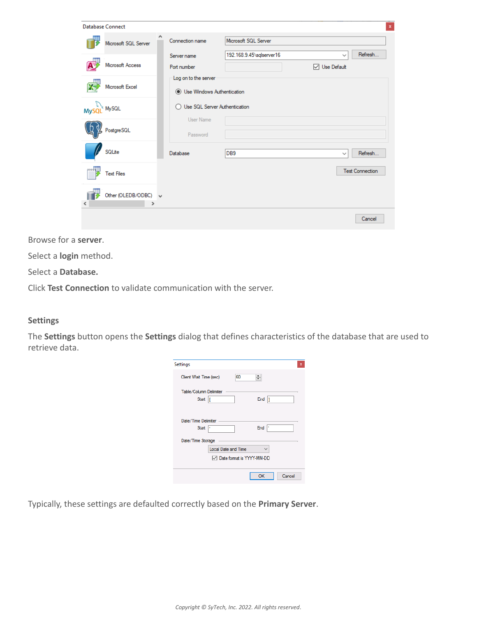| <b>Database Connect</b> |                                       |        |                                                             |                          |                             |              | $\mathbf x$            |
|-------------------------|---------------------------------------|--------|-------------------------------------------------------------|--------------------------|-----------------------------|--------------|------------------------|
|                         | Microsoft SQL Server                  | $\sim$ | Connection name                                             | Microsoft SQL Server     |                             |              |                        |
|                         | Microsoft Access                      |        | Server name<br>Port number                                  | 192.168.9.45\sqlserver16 | $\triangledown$ Use Default | $\checkmark$ | Refresh                |
|                         | Microsoft Excel                       |        | Log on to the server<br><b>.</b> Use Windows Authentication |                          |                             |              |                        |
| MySQL                   | MySQL                                 |        | Use SQL Server Authentication                               |                          |                             |              |                        |
|                         | $\mathsf{PostgreSQL}$                 |        | User Name<br>Password                                       |                          |                             |              |                        |
|                         | SQLite                                |        | Database                                                    | DB <sub>9</sub>          |                             | $\checkmark$ | Refresh                |
| 0991                    | <b>Text Files</b>                     |        |                                                             |                          |                             |              | <b>Test Connection</b> |
| $\langle$               | Other (OLEDB/ODBC) v<br>$\rightarrow$ |        |                                                             |                          |                             |              |                        |
|                         |                                       |        |                                                             |                          |                             |              | Cancel                 |

Browse for a **server**.

Select a **login** method.

Select a **Database.**

Click **Test Connection** to validate communication with the server.

#### **Settings**

The **Settings** button opens the **Settings** dialog that defines characteristics of the database that are used to retrieve data.

| Settings                                             | × |
|------------------------------------------------------|---|
| 60<br>÷<br>Client Wait Time (sec)                    |   |
| Table/Column Delimiter<br>Start  <br>End             |   |
| Date/Time Delimiter<br>End<br>Þ<br><b>Start</b><br>٠ |   |
| Date/Time Storage                                    |   |
| <b>Local Date and Time</b>                           |   |
| Date format is YYYY-MM-DD                            |   |
|                                                      |   |
| OK<br>Cancel                                         |   |

Typically, these settings are defaulted correctly based on the **Primary Server**.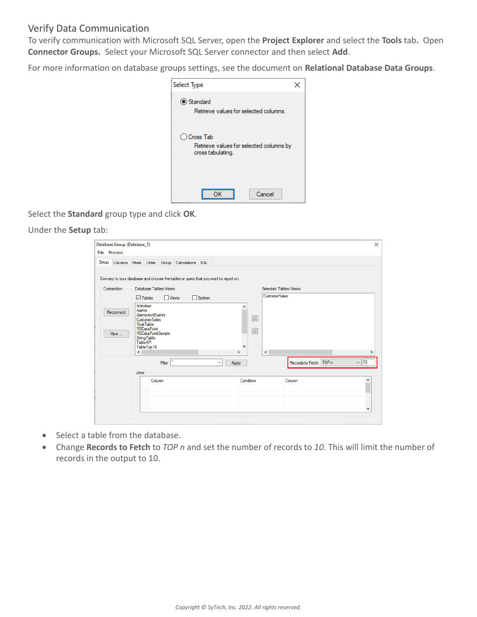### Verify Data Communication

To verify communication with Microsoft SQL Server, open the **Project Explorer** and select the **Tools** tab**.** Open **Connector Groups.** Select your Microsoft SQL Server connector and then select **Add**.

For more information on database groups settings, see the document on **Relational Database Data Groups**.

| Select Type                                                                 |  |
|-----------------------------------------------------------------------------|--|
| Standard<br>Retrieve values for selected columns.                           |  |
| ◯ Cross Tab<br>Retrieve values for selected columns by<br>cross tabulating. |  |
| Cancel<br>ΩK                                                                |  |

Select the **Standard** group type and click **OK**.

#### Under the **Setup** tab:

|       | Database Group (Database_1)<br><b>File</b> Preview |                                            |                                                                      |                       |                                              |               |                                                                                     |                               |           |                      |                       |                          |           |
|-------|----------------------------------------------------|--------------------------------------------|----------------------------------------------------------------------|-----------------------|----------------------------------------------|---------------|-------------------------------------------------------------------------------------|-------------------------------|-----------|----------------------|-----------------------|--------------------------|-----------|
| Setup |                                                    |                                            |                                                                      |                       | Columns Filters Order Group Calculations SQL |               |                                                                                     |                               |           |                      |                       |                          |           |
|       |                                                    |                                            |                                                                      |                       |                                              |               | Connect to your database and choose the tables or query that you want to report on. |                               |           |                      |                       |                          |           |
|       | Connection                                         |                                            |                                                                      | Database Tables/Views |                                              |               |                                                                                     |                               |           |                      | Selected Tables/Views |                          |           |
|       |                                                    | $\sqrt{}$ Tables                           |                                                                      | $\Box$ Views          |                                              | $\Box$ System |                                                                                     |                               |           | <b>CustomerSales</b> |                       |                          |           |
|       | Reconnect                                          | <b>Activities</b><br>Alarms<br>Float Table | <b>AlarmsAndEvents</b><br><b>CustomerSales</b><br><b>RSDataPoint</b> |                       |                                              |               |                                                                                     | ۸                             | $\, > \,$ |                      |                       |                          |           |
|       | View                                               | <b>TableKPI</b><br>$\hat{}$                | <b>RSDataPointSample</b><br><b>String Table</b><br>Table Top 10      |                       |                                              |               |                                                                                     | $\checkmark$<br>$\rightarrow$ | $\prec$   | $\,<$                |                       |                          |           |
|       |                                                    |                                            |                                                                      | Filter                |                                              |               | Apply<br>$\checkmark$                                                               |                               |           |                      |                       | Records to Fetch   TOP n | $\vee$ 10 |
|       |                                                    | Joins                                      |                                                                      |                       |                                              |               |                                                                                     |                               |           |                      |                       |                          |           |
|       |                                                    |                                            | Column                                                               |                       |                                              |               |                                                                                     | Condition                     |           |                      | Column                |                          | ́         |
|       |                                                    |                                            |                                                                      |                       |                                              |               |                                                                                     |                               |           |                      |                       |                          |           |
|       |                                                    |                                            |                                                                      |                       |                                              |               |                                                                                     |                               |           |                      |                       |                          | v         |

- Select a table from the database.
- Change **Records to Fetch** to *TOP n* and set the number of records to *10*. This will limit the number of records in the output to 10.